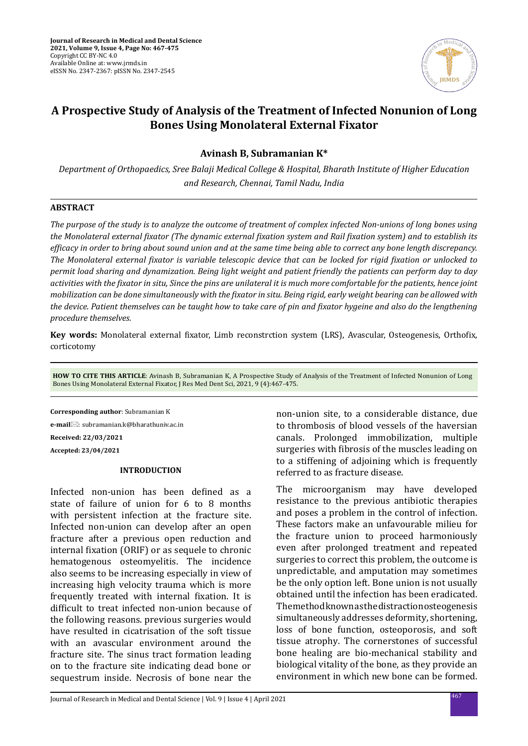

# **A Prospective Study of Analysis of the Treatment of Infected Nonunion of Long Bones Using Monolateral External Fixator**

**Avinash B, Subramanian K\***

*Department of Orthopaedics, Sree Balaji Medical College & Hospital, Bharath Institute of Higher Education and Research, Chennai, Tamil Nadu, India*

### **ABSTRACT**

*The purpose of the study is to analyze the outcome of treatment of complex infected Non-unions of long bones using the Monolateral external fixator (The dynamic external fixation system and Rail fixation system) and to establish its efficacy in order to bring about sound union and at the same time being able to correct any bone length discrepancy. The Monolateral external fixator is variable telescopic device that can be locked for rigid fixation or unlocked to permit load sharing and dynamization. Being light weight and patient friendly the patients can perform day to day activities with the fixator in situ, Since the pins are unilateral it is much more comfortable for the patients, hence joint mobilization can be done simultaneously with the fixator in situ. Being rigid, early weight bearing can be allowed with the device. Patient themselves can be taught how to take care of pin and fixator hygeine and also do the lengthening procedure themselves.*

**Key words:** Monolateral external fixator, Limb reconstrction system (LRS), Avascular, Osteogenesis, Orthofix, corticotomy

**HOW TO CITE THIS ARTICLE**: Avinash B, Subramanian K, A Prospective Study of Analysis of the Treatment of Infected Nonunion of Long Bones Using Monolateral External Fixator, J Res Med Dent Sci, 2021, 9 (4):467-475.

**Corresponding author**: Subramanian K

**e-mail**: subramanian.k@bharathuniv.ac.in **Received: 22/03/2021 Accepted: 23/04/2021**

### **INTRODUCTION**

Infected non-union has been defined as a state of failure of union for 6 to 8 months with persistent infection at the fracture site. Infected non-union can develop after an open fracture after a previous open reduction and internal fixation (ORIF) or as sequele to chronic hematogenous osteomyelitis. The incidence also seems to be increasing especially in view of increasing high velocity trauma which is more frequently treated with internal fixation. It is difficult to treat infected non-union because of the following reasons. previous surgeries would have resulted in cicatrisation of the soft tissue with an avascular environment around the fracture site. The sinus tract formation leading on to the fracture site indicating dead bone or sequestrum inside. Necrosis of bone near the non-union site, to a considerable distance, due to thrombosis of blood vessels of the haversian canals. Prolonged immobilization, multiple surgeries with fibrosis of the muscles leading on to a stiffening of adjoining which is frequently referred to as fracture disease.

The microorganism may have developed resistance to the previous antibiotic therapies and poses a problem in the control of infection. These factors make an unfavourable milieu for the fracture union to proceed harmoniously even after prolonged treatment and repeated surgeries to correct this problem, the outcome is unpredictable, and amputation may sometimes be the only option left. Bone union is not usually obtained until the infection has been eradicated. The method known as the distraction osteogenesis simultaneously addresses deformity, shortening, loss of bone function, osteoporosis, and soft tissue atrophy. The cornerstones of successful bone healing are bio-mechanical stability and biological vitality of the bone, as they provide an environment in which new bone can be formed.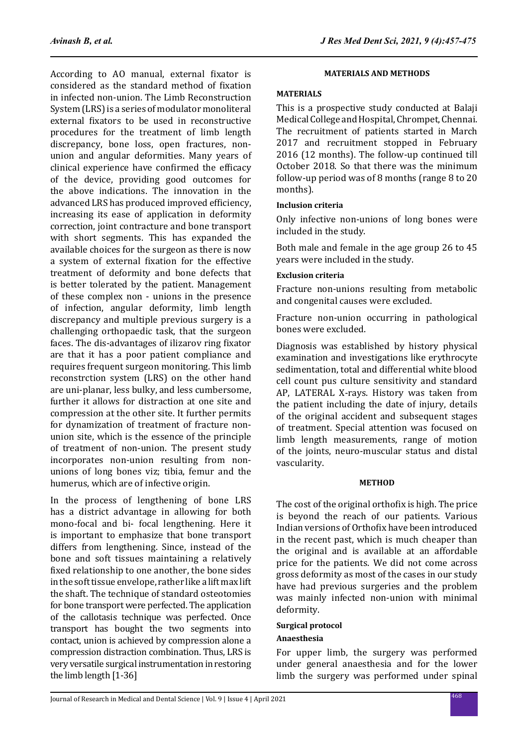According to AO manual, external fixator is considered as the standard method of fixation in infected non-union. The Limb Reconstruction System (LRS) is a series of modulator monoliteral external fixators to be used in reconstructive procedures for the treatment of limb length discrepancy, bone loss, open fractures, nonunion and angular deformities. Many years of clinical experience have confirmed the efficacy of the device, providing good outcomes for the above indications. The innovation in the advanced LRS has produced improved efficiency, increasing its ease of application in deformity correction, joint contracture and bone transport with short segments. This has expanded the available choices for the surgeon as there is now a system of external fixation for the effective treatment of deformity and bone defects that is better tolerated by the patient. Management of these complex non - unions in the presence of infection, angular deformity, limb length discrepancy and multiple previous surgery is a challenging orthopaedic task, that the surgeon faces. The dis-advantages of ilizarov ring fixator are that it has a poor patient compliance and requires frequent surgeon monitoring. This limb reconstrction system (LRS) on the other hand are uni-planar, less bulky, and less cumbersome, further it allows for distraction at one site and compression at the other site. It further permits for dynamization of treatment of fracture nonunion site, which is the essence of the principle of treatment of non-union. The present study incorporates non-union resulting from nonunions of long bones viz; tibia, femur and the humerus, which are of infective origin.

In the process of lengthening of bone LRS has a district advantage in allowing for both mono-focal and bi- focal lengthening. Here it is important to emphasize that bone transport differs from lengthening. Since, instead of the bone and soft tissues maintaining a relatively fixed relationship to one another, the bone sides in the soft tissue envelope, rather like a lift max lift the shaft. The technique of standard osteotomies for bone transport were perfected. The application of the callotasis technique was perfected. Once transport has bought the two segments into contact, union is achieved by compression alone a compression distraction combination. Thus, LRS is very versatile surgical instrumentation in restoring the limb length [1-36]

### **MATERIALS AND METHODS**

### **MATERIALS**

This is a prospective study conducted at Balaji Medical College and Hospital, Chrompet, Chennai. The recruitment of patients started in March 2017 and recruitment stopped in February 2016 (12 months). The follow-up continued till October 2018. So that there was the minimum follow-up period was of 8 months (range 8 to 20 months).

### **Inclusion criteria**

Only infective non-unions of long bones were included in the study.

Both male and female in the age group 26 to 45 years were included in the study.

### **Exclusion criteria**

Fracture non-unions resulting from metabolic and congenital causes were excluded.

Fracture non-union occurring in pathological bones were excluded.

Diagnosis was established by history physical examination and investigations like erythrocyte sedimentation, total and differential white blood cell count pus culture sensitivity and standard AP, LATERAL X-rays. History was taken from the patient including the date of injury, details of the original accident and subsequent stages of treatment. Special attention was focused on limb length measurements, range of motion of the joints, neuro-muscular status and distal vascularity.

### **METHOD**

The cost of the original orthofix is high. The price is beyond the reach of our patients. Various Indian versions of Orthofix have been introduced in the recent past, which is much cheaper than the original and is available at an affordable price for the patients. We did not come across gross deformity as most of the cases in our study have had previous surgeries and the problem was mainly infected non-union with minimal deformity.

# **Surgical protocol**

## **Anaesthesia**

For upper limb, the surgery was performed under general anaesthesia and for the lower limb the surgery was performed under spinal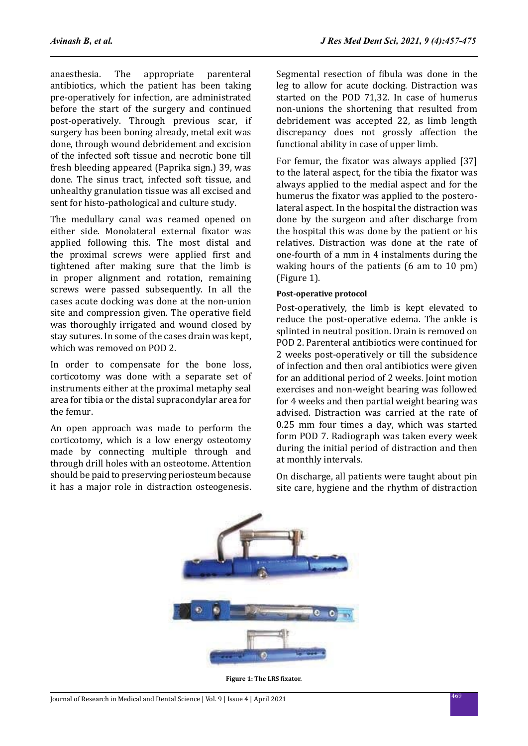anaesthesia. The appropriate parenteral antibiotics, which the patient has been taking pre-operatively for infection, are administrated before the start of the surgery and continued post-operatively. Through previous scar, if surgery has been boning already, metal exit was done, through wound debridement and excision of the infected soft tissue and necrotic bone till fresh bleeding appeared (Paprika sign.) 39, was done. The sinus tract, infected soft tissue, and unhealthy granulation tissue was all excised and sent for histo-pathological and culture study.

The medullary canal was reamed opened on either side. Monolateral external fixator was applied following this. The most distal and the proximal screws were applied first and tightened after making sure that the limb is in proper alignment and rotation, remaining screws were passed subsequently. In all the cases acute docking was done at the non-union site and compression given. The operative field was thoroughly irrigated and wound closed by stay sutures. In some of the cases drain was kept, which was removed on POD 2.

In order to compensate for the bone loss, corticotomy was done with a separate set of instruments either at the proximal metaphy seal area for tibia or the distal supracondylar area for the femur.

An open approach was made to perform the corticotomy, which is a low energy osteotomy made by connecting multiple through and through drill holes with an osteotome. Attention should be paid to preserving periosteum because it has a major role in distraction osteogenesis. Segmental resection of fibula was done in the leg to allow for acute docking. Distraction was started on the POD 71,32. In case of humerus non-unions the shortening that resulted from debridement was accepted 22, as limb length discrepancy does not grossly affection the functional ability in case of upper limb.

For femur, the fixator was always applied [37] to the lateral aspect, for the tibia the fixator was always applied to the medial aspect and for the humerus the fixator was applied to the posterolateral aspect. In the hospital the distraction was done by the surgeon and after discharge from the hospital this was done by the patient or his relatives. Distraction was done at the rate of one-fourth of a mm in 4 instalments during the waking hours of the patients (6 am to 10 pm) (Figure 1).

### **Post-operative protocol**

Post-operatively, the limb is kept elevated to reduce the post-operative edema. The ankle is splinted in neutral position. Drain is removed on POD 2. Parenteral antibiotics were continued for 2 weeks post-operatively or till the subsidence of infection and then oral antibiotics were given for an additional period of 2 weeks. Joint motion exercises and non-weight bearing was followed for 4 weeks and then partial weight bearing was advised. Distraction was carried at the rate of 0.25 mm four times a day, which was started form POD 7. Radiograph was taken every week during the initial period of distraction and then at monthly intervals.

On discharge, all patients were taught about pin site care, hygiene and the rhythm of distraction



**Figure 1: The LRS fixator.**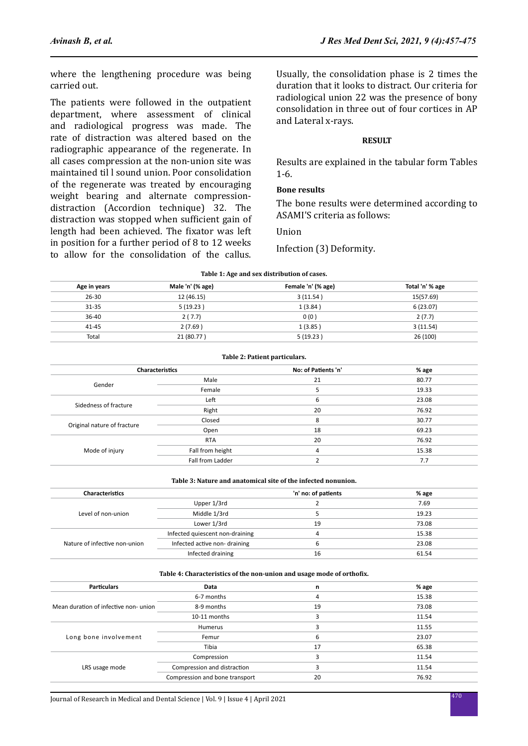where the lengthening procedure was being carried out.

The patients were followed in the outpatient department, where assessment of clinical and radiological progress was made. The rate of distraction was altered based on the radiographic appearance of the regenerate. In all cases compression at the non-union site was maintained til l sound union. Poor consolidation of the regenerate was treated by encouraging weight bearing and alternate compressiondistraction (Accordion technique) 32. The distraction was stopped when sufficient gain of length had been achieved. The fixator was left in position for a further period of 8 to 12 weeks to allow for the consolidation of the callus.

Usually, the consolidation phase is 2 times the duration that it looks to distract. Our criteria for radiological union 22 was the presence of bony consolidation in three out of four cortices in AP and Lateral x-rays.

### **RESULT**

Results are explained in the tabular form Tables 1-6.

### **Bone results**

The bone results were determined according to ASAMI'S criteria as follows:

### Union

Infection (3) Deformity.

| Table 1: Age and sex distribution of cases. |                  |                    |                 |
|---------------------------------------------|------------------|--------------------|-----------------|
| Age in years                                | Male 'n' (% age) | Female 'n' (% age) | Total 'n' % age |
| $26 - 30$                                   | 12 (46.15)       | 3(11.54)           | 15(57.69)       |
| $31 - 35$                                   | 5(19.23)         | 1(3.84)            | 6(23.07)        |
| 36-40                                       | 2(7.7)           | 0(0)               | 2(7.7)          |
| $41 - 45$                                   | 2(7.69)          | 1(3.85)            | 3(11.54)        |
| Total                                       | 21 (80.77)       | 5(19.23)           | 26 (100)        |

|                             | Table 2: Patient particulars. |                     |       |  |
|-----------------------------|-------------------------------|---------------------|-------|--|
| <b>Characteristics</b>      |                               | No: of Patients 'n' | % age |  |
| Gender                      | Male                          | 21                  | 80.77 |  |
|                             | Female                        | 5                   | 19.33 |  |
| Sidedness of fracture       | Left                          | 6                   | 23.08 |  |
|                             | Right                         | 20                  | 76.92 |  |
|                             | Closed                        | 8                   | 30.77 |  |
| Original nature of fracture | Open                          | 18                  | 69.23 |  |
|                             | <b>RTA</b>                    | 20                  | 76.92 |  |
| Mode of injury              | Fall from height              | 4                   | 15.38 |  |
|                             | Fall from Ladder              |                     | 7.7   |  |

#### **Table 3: Nature and anatomical site of the infected nonunion.**

| <b>Characteristics</b>        |                                 | 'n' no: of patients | % age |
|-------------------------------|---------------------------------|---------------------|-------|
|                               | Upper 1/3rd                     |                     | 7.69  |
| Level of non-union            | Middle 1/3rd                    |                     | 19.23 |
|                               | Lower 1/3rd                     | 19                  | 73.08 |
|                               | Infected quiescent non-draining | 4                   | 15.38 |
| Nature of infective non-union | Infected active non-draining    | 6                   | 23.08 |
|                               | Infected draining               | 16                  | 61.54 |

#### **Table 4: Characteristics of the non-union and usage mode of orthofix.**

| <b>Particulars</b>                   | Data                           | n  | % age |
|--------------------------------------|--------------------------------|----|-------|
|                                      | 6-7 months                     | 4  | 15.38 |
| Mean duration of infective non-union | 8-9 months                     | 19 | 73.08 |
|                                      | 10-11 months                   |    | 11.54 |
|                                      | Humerus                        |    | 11.55 |
| Long bone involvement                | Femur                          | 6  | 23.07 |
|                                      | Tibia                          | 17 | 65.38 |
|                                      | Compression                    |    | 11.54 |
| LRS usage mode                       | Compression and distraction    |    | 11.54 |
|                                      | Compression and bone transport | 20 | 76.92 |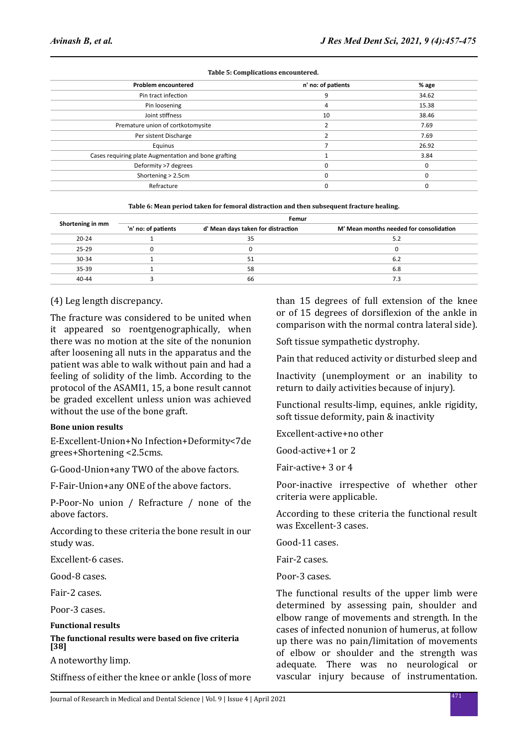| <b>Problem encountered</b>                           | n' no: of patients | % age |
|------------------------------------------------------|--------------------|-------|
| Pin tract infection                                  | 9                  | 34.62 |
| Pin loosening                                        | 4                  | 15.38 |
| Joint stiffness                                      | 10                 | 38.46 |
| Premature union of cortkotomysite                    |                    | 7.69  |
| Per sistent Discharge                                |                    | 7.69  |
| Equinus                                              |                    | 26.92 |
| Cases requiring plate Augmentation and bone grafting |                    | 3.84  |
| Deformity >7 degrees                                 |                    |       |
| Shortening > 2.5cm                                   |                    |       |
| Refracture                                           |                    |       |
|                                                      |                    |       |

#### **Table 5: Complications encountered.**

| Shortening in mm | Femur               |                                    |                                         |
|------------------|---------------------|------------------------------------|-----------------------------------------|
|                  | 'n' no: of patients | d' Mean days taken for distraction | M' Mean months needed for consolidation |
| $20 - 24$        |                     | 35                                 | 5.2                                     |
| $25 - 29$        |                     |                                    |                                         |
| $30 - 34$        |                     | 51                                 | 6.2                                     |
| $35 - 39$        |                     | 58                                 | 6.8                                     |
| $40 - 44$        |                     | 66                                 | 7.3                                     |

### (4) Leg length discrepancy.

The fracture was considered to be united when it appeared so roentgenographically, when there was no motion at the site of the nonunion after loosening all nuts in the apparatus and the patient was able to walk without pain and had a feeling of solidity of the limb. According to the protocol of the ASAMI1, 15, a bone result cannot be graded excellent unless union was achieved without the use of the bone graft.

### **Bone union results**

E-Excellent-Union+No Infection+Deformity<7de grees+Shortening <2.5cms.

G-Good-Union+any TWO of the above factors.

F-Fair-Union+any ONE of the above factors.

P-Poor-No union / Refracture / none of the above factors.

According to these criteria the bone result in our study was.

Excellent-6 cases.

Good-8 cases.

Fair-2 cases.

Poor-3 cases.

**Functional results**

### **The functional results were based on five criteria [38]**

A noteworthy limp.

Stiffness of either the knee or ankle (loss of more

than 15 degrees of full extension of the knee or of 15 degrees of dorsiflexion of the ankle in comparison with the normal contra lateral side).

Soft tissue sympathetic dystrophy.

Pain that reduced activity or disturbed sleep and

Inactivity (unemployment or an inability to return to daily activities because of injury).

Functional results-limp, equines, ankle rigidity, soft tissue deformity, pain & inactivity

Excellent-active+no other

Good-active+1 or 2

Fair-active+ 3 or 4

Poor-inactive irrespective of whether other criteria were applicable.

According to these criteria the functional result was Excellent-3 cases.

Good-11 cases.

Fair-2 cases.

Poor-3 cases.

The functional results of the upper limb were determined by assessing pain, shoulder and elbow range of movements and strength. In the cases of infected nonunion of humerus, at follow up there was no pain/limitation of movements of elbow or shoulder and the strength was adequate. There was no neurological or vascular injury because of instrumentation.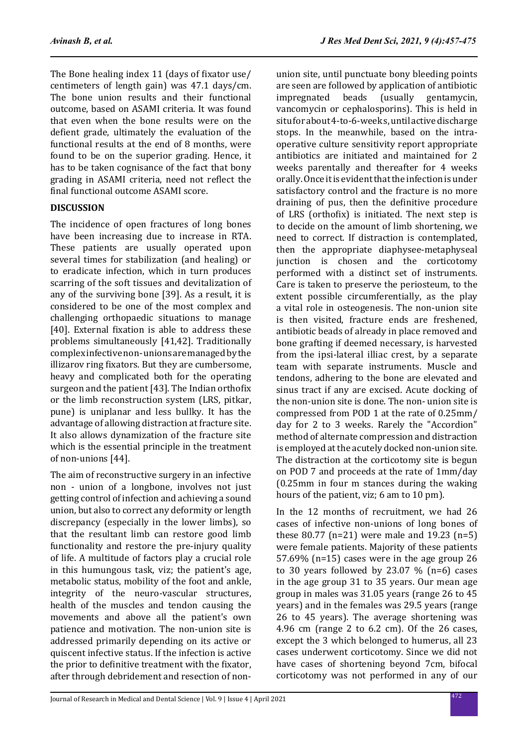The Bone healing index 11 (days of fixator use/ centimeters of length gain) was 47.1 days/cm. The bone union results and their functional outcome, based on ASAMI criteria. It was found that even when the bone results were on the defient grade, ultimately the evaluation of the functional results at the end of 8 months, were found to be on the superior grading. Hence, it has to be taken cognisance of the fact that bony grading in ASAMI criteria, need not reflect the final functional outcome ASAMI score.

## **DISCUSSION**

The incidence of open fractures of long bones have been increasing due to increase in RTA. These patients are usually operated upon several times for stabilization (and healing) or to eradicate infection, which in turn produces scarring of the soft tissues and devitalization of any of the surviving bone [39]. As a result, it is considered to be one of the most complex and challenging orthopaedic situations to manage [40]. External fixation is able to address these problems simultaneously [41,42]. Traditionally complex infective non- unions are managed by the illizarov ring fixators. But they are cumbersome, heavy and complicated both for the operating surgeon and the patient [43]. The Indian orthofix or the limb reconstruction system (LRS, pitkar, pune) is uniplanar and less bullky. It has the advantage of allowing distraction at fracture site. It also allows dynamization of the fracture site which is the essential principle in the treatment of non-unions [44].

The aim of reconstructive surgery in an infective non - union of a longbone, involves not just getting control of infection and achieving a sound union, but also to correct any deformity or length discrepancy (especially in the lower limbs), so that the resultant limb can restore good limb functionality and restore the pre-injury quality of life. A multitude of factors play a crucial role in this humungous task, viz; the patient's age, metabolic status, mobility of the foot and ankle, integrity of the neuro-vascular structures, health of the muscles and tendon causing the movements and above all the patient's own patience and motivation. The non-union site is addressed primarily depending on its active or quiscent infective status. If the infection is active the prior to definitive treatment with the fixator, after through debridement and resection of nonunion site, until punctuate bony bleeding points are seen are followed by application of antibiotic<br>impregnated beads (usually gentamycin. beads (usually gentamycin, vancomycin or cephalosporins). This is held in situ for about 4-to-6-week s, until active discharge stops. In the meanwhile, based on the intraoperative culture sensitivity report appropriate antibiotics are initiated and maintained for 2 weeks parentally and thereafter for 4 weeks orally. Once it is evident that the infection is under satisfactory control and the fracture is no more draining of pus, then the definitive procedure of LRS (orthofix) is initiated. The next step is to decide on the amount of limb shortening, we need to correct. If distraction is contemplated, then the appropriate diaphysee-metaphyseal junction is chosen and the corticotomy performed with a distinct set of instruments. Care is taken to preserve the periosteum, to the extent possible circumferentially, as the play a vital role in osteogenesis. The non-union site is then visited, fracture ends are freshened, antibiotic beads of already in place removed and bone grafting if deemed necessary, is harvested from the ipsi-lateral illiac crest, by a separate team with separate instruments. Muscle and tendons, adhering to the bone are elevated and sinus tract if any are excised. Acute docking of the non-union site is done. The non- union site is compressed from POD 1 at the rate of 0.25mm/ day for 2 to 3 weeks. Rarely the "Accordion" method of alternate compression and distraction is employed at the acutely docked non-union site. The distraction at the corticotomy site is begun on POD 7 and proceeds at the rate of 1mm/day (0.25mm in four m stances during the waking hours of the patient, viz; 6 am to 10 pm).

In the 12 months of recruitment, we had 26 cases of infective non-unions of long bones of these 80.77 (n=21) were male and 19.23 (n=5) were female patients. Majority of these patients 57.69% (n=15) cases were in the age group 26 to 30 years followed by 23.07  $%$  (n=6) cases in the age group 31 to 35 years. Our mean age group in males was 31.05 years (range 26 to 45 years) and in the females was 29.5 years (range 26 to 45 years). The average shortening was 4.96 cm (range 2 to 6.2 cm). Of the 26 cases, except the 3 which belonged to humerus, all 23 cases underwent corticotomy. Since we did not have cases of shortening beyond 7cm, bifocal corticotomy was not performed in any of our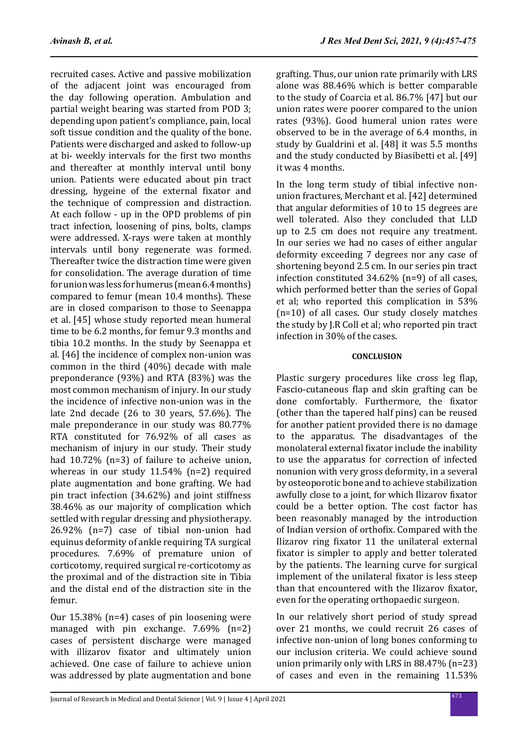recruited cases. Active and passive mobilization of the adjacent joint was encouraged from the day following operation. Ambulation and partial weight bearing was started from POD 3; depending upon patient's compliance, pain, local soft tissue condition and the quality of the bone. Patients were discharged and asked to follow-up at bi- weekly intervals for the first two months and thereafter at monthly interval until bony union. Patients were educated about pin tract dressing, hygeine of the external fixator and the technique of compression and distraction. At each follow - up in the OPD problems of pin tract infection, loosening of pins, bolts, clamps were addressed. X-rays were taken at monthly intervals until bony regenerate was formed. Thereafter twice the distraction time were given for consolidation. The average duration of time for union was less for humerus (mean 6.4 months) compared to femur (mean 10.4 months). These are in closed comparison to those to Seenappa et al. [45] whose study reported mean humeral time to be 6.2 months, for femur 9.3 months and tibia 10.2 months. In the study by Seenappa et al. [46] the incidence of complex non-union was common in the third (40%) decade with male preponderance (93%) and RTA (83%) was the most common mechanism of injury. In our study the incidence of infective non-union was in the late 2nd decade (26 to 30 years, 57.6%). The male preponderance in our study was 80.77% RTA constituted for 76.92% of all cases as mechanism of injury in our study. Their study had 10.72% (n=3) of failure to acheive union, whereas in our study 11.54% (n=2) required plate augmentation and bone grafting. We had pin tract infection (34.62%) and joint stiffness 38.46% as our majority of complication which settled with regular dressing and physiotherapy. 26.92% (n=7) case of tibial non-union had equinus deformity of ankle requiring TA surgical procedures. 7.69% of premature union of corticotomy, required surgical re-corticotomy as the proximal and of the distraction site in Tibia and the distal end of the distraction site in the femur.

Our 15.38% (n=4) cases of pin loosening were managed with pin exchange. 7.69% (n=2) cases of persistent discharge were managed with illizarov fixator and ultimately union achieved. One case of failure to achieve union was addressed by plate augmentation and bone grafting. Thus, our union rate primarily with LRS alone was 88.46% which is better comparable to the study of Coarcia et al. 86.7% [47] but our union rates were poorer compared to the union rates (93%). Good humeral union rates were observed to be in the average of 6.4 months, in study by Gualdrini et al. [48] it was 5.5 months and the study conducted by Biasibetti et al. [49] it was 4 months.

In the long term study of tibial infective nonunion fractures, Merchant et al. [42] determined that angular deformities of 10 to 15 degrees are well tolerated. Also they concluded that LLD up to 2.5 cm does not require any treatment. In our series we had no cases of either angular deformity exceeding 7 degrees nor any case of shortening beyond 2.5 cm. In our series pin tract infection constituted 34.62% (n=9) of all cases, which performed better than the series of Gopal et al; who reported this complication in 53% (n=10) of all cases. Our study closely matches the study by J.R Coll et al; who reported pin tract infection in 30% of the cases.

### **CONCLUSION**

Plastic surgery procedures like cross leg flap, Fascio-cutaneous flap and skin grafting can be done comfortably. Furthermore, the fixator (other than the tapered half pins) can be reused for another patient provided there is no damage to the apparatus. The disadvantages of the monolateral external fixator include the inability to use the apparatus for correction of infected nonunion with very gross deformity, in a several by osteoporotic bone and to achieve stabilization awfully close to a joint, for which Ilizarov fixator could be a better option. The cost factor has been reasonably managed by the introduction of Indian version of orthofix. Compared with the Ilizarov ring fixator 11 the unilateral external fixator is simpler to apply and better tolerated by the patients. The learning curve for surgical implement of the unilateral fixator is less steep than that encountered with the Ilizarov fixator, even for the operating orthopaedic surgeon.

In our relatively short period of study spread over 21 months, we could recruit 26 cases of infective non-union of long bones conforming to our inclusion criteria. We could achieve sound union primarily only with LRS in 88.47% (n=23) of cases and even in the remaining 11.53%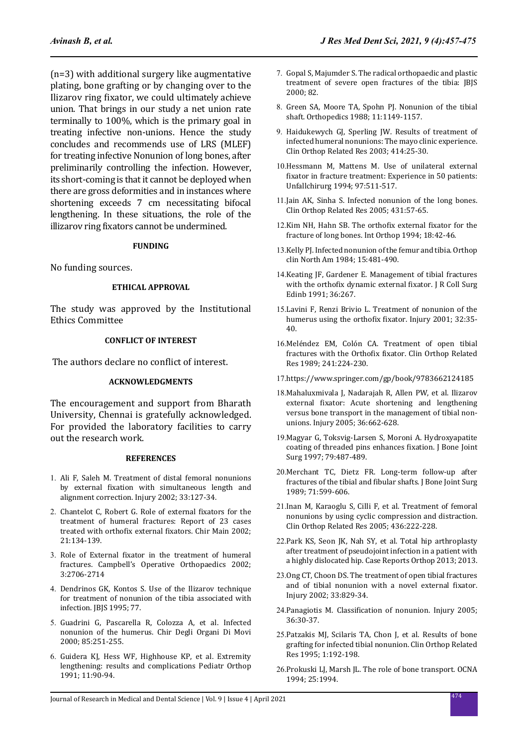(n=3) with additional surgery like augmentative plating, bone grafting or by changing over to the Ilizarov ring fixator, we could ultimately achieve union. That brings in our study a net union rate terminally to 100%, which is the primary goal in treating infective non-unions. Hence the study concludes and recommends use of LRS (MLEF) for treating infective Nonunion of long bones, after preliminarily controlling the infection. However, its short-coming is that it cannot be deployed when there are gross deformities and in instances where shortening exceeds 7 cm necessitating bifocal lengthening. In these situations, the role of the illizarov ring fixators cannot be undermined.

#### **FUNDING**

No funding sources.

### **ETHICAL APPROVAL**

The study was approved by the Institutional Ethics Committee

### **CONFLICT OF INTEREST**

The authors declare no conflict of interest.

#### **ACKNOWLEDGMENTS**

The encouragement and support from Bharath University, Chennai is gratefully acknowledged. For provided the laboratory facilities to carry out the research work.

#### **REFERENCES**

- 1. Ali F, Saleh M. Treatment of distal femoral nonunions by external fixation with simultaneous length and alignment correction. Injury 2002; 33:127-34.
- 2. Chantelot C, Robert G. Role of external fixators for the treatment of humeral fractures: Report of 23 cases treated with orthofix external fixators. Chir Main 2002; 21:134-139.
- 3. Role of External fixator in the treatment of humeral fractures. Campbell's Operative Orthopaedics 2002; 3:2706-2714
- 4. Dendrinos GK, Kontos S. Use of the Ilizarov technique for treatment of nonunion of the tibia associated with infection. IBIS 1995: 77.
- 5. Guadrini G, Pascarella R, Colozza A, et al. Infected nonunion of the humerus. Chir Degli Organi Di Movi 2000; 85:251-255.
- 6. Guidera KJ, Hess WF, Highhouse KP, et al. Extremity lengthening: results and complications Pediatr Orthop 1991; 11:90-94.
- 7. Gopal S, Majumder S. The radical orthopaedic and plastic treatment of severe open fractures of the tibia: JBJS 2000; 82.
- 8. Green SA, Moore TA, Spohn PJ. Nonunion of the tibial shaft. Orthopedics 1988; 11:1149-1157.
- 9. Haidukewych GJ, Sperling JW. Results of treatment of infected humeral nonunions: The mayo clinic experience. Clin Orthop Related Res 2003; 414:25-30.
- 10.Hessmann M, Mattens M. Use of unilateral external fixator in fracture treatment: Experience in 50 patients: Unfallchirurg 1994; 97:511-517.
- 11.Jain AK, Sinha S. Infected nonunion of the long bones. Clin Orthop Related Res 2005; 431:57-65.
- 12.Kim NH, Hahn SB. The orthofix external fixator for the fracture of long bones. Int Orthop 1994; 18:42-46.
- 13.Kelly PJ. Infected nonunion of the femur and tibia. Orthop clin North Am 1984; 15:481-490.
- 14.Keating JF, Gardener E. Management of tibial fractures with the orthofix dynamic external fixator. J R Coll Surg Edinb 1991; 36:267.
- 15.Lavini F, Renzi Brivio L. Treatment of nonunion of the humerus using the orthofix fixator. Injury 2001; 32:35- 40.
- 16.Meléndez EM, Colón CA. Treatment of open tibial fractures with the Orthofix fixator. Clin Orthop Related Res 1989; 241:224-230.
- 17.https://www.springer.com/gp/book/9783662124185
- 18.Mahaluxmivala J, Nadarajah R, Allen PW, et al. Ilizarov external fixator: Acute shortening and lengthening versus bone transport in the management of tibial nonunions. Injury 2005; 36:662-628.
- 19.Magyar G, Toksvig-Larsen S, Moroni A. Hydroxyapatite coating of threaded pins enhances fixation. J Bone Joint Surg 1997; 79:487-489.
- 20.Merchant TC, Dietz FR. Long-term follow-up after fractures of the tibial and fibular shafts. J Bone Joint Surg 1989; 71:599-606.
- 21.Inan M, Karaoglu S, Cilli F, et al. Treatment of femoral nonunions by using cyclic compression and distraction. Clin Orthop Related Res 2005; 436:222-228.
- 22.Park KS, Seon JK, Nah SY, et al. Total hip arthroplasty after treatment of pseudojoint infection in a patient with a highly dislocated hip. Case Reports Orthop 2013; 2013.
- 23.Ong CT, Choon DS. The treatment of open tibial fractures and of tibial nonunion with a novel external fixator. Injury 2002; 33:829-34.
- 24.Panagiotis M. Classification of nonunion. Injury 2005; 36:30-37.
- 25.Patzakis MJ, Scilaris TA, Chon J, et al. Results of bone grafting for infected tibial nonunion. Clin Orthop Related Res 1995; 1:192-198.
- 26.Prokuski LJ, Marsh JL. The role of bone transport. OCNA 1994; 25:1994.